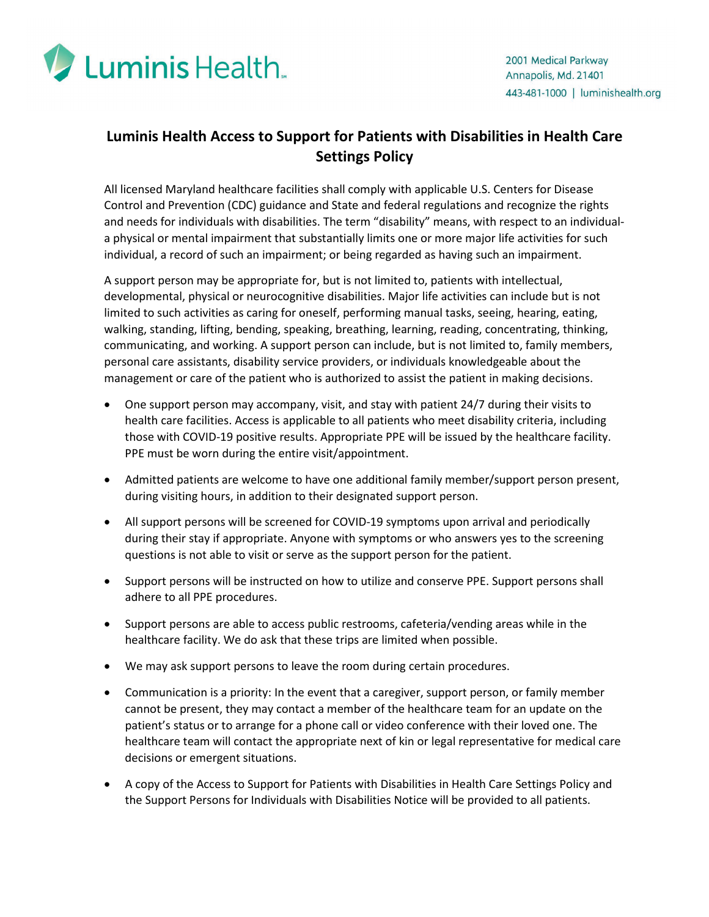

## **Luminis Health Access to Support for Patients with Disabilities in Health Care Settings Policy**

All licensed Maryland healthcare facilities shall comply with applicable U.S. Centers for Disease Control and Prevention (CDC) guidance and State and federal regulations and recognize the rights and needs for individuals with disabilities. The term "disability" means, with respect to an individuala physical or mental impairment that substantially limits one or more major life activities for such individual, a record of such an impairment; or being regarded as having such an impairment.

A support person may be appropriate for, but is not limited to, patients with intellectual, developmental, physical or neurocognitive disabilities. Major life activities can include but is not limited to such activities as caring for oneself, performing manual tasks, seeing, hearing, eating, walking, standing, lifting, bending, speaking, breathing, learning, reading, concentrating, thinking, communicating, and working. A support person can include, but is not limited to, family members, personal care assistants, disability service providers, or individuals knowledgeable about the management or care of the patient who is authorized to assist the patient in making decisions.

- One support person may accompany, visit, and stay with patient 24/7 during their visits to health care facilities. Access is applicable to all patients who meet disability criteria, including those with COVID-19 positive results. Appropriate PPE will be issued by the healthcare facility. PPE must be worn during the entire visit/appointment.
- Admitted patients are welcome to have one additional family member/support person present, during visiting hours, in addition to their designated support person.
- All support persons will be screened for COVID-19 symptoms upon arrival and periodically during their stay if appropriate. Anyone with symptoms or who answers yes to the screening questions is not able to visit or serve as the support person for the patient.
- Support persons will be instructed on how to utilize and conserve PPE. Support persons shall adhere to all PPE procedures.
- Support persons are able to access public restrooms, cafeteria/vending areas while in the healthcare facility. We do ask that these trips are limited when possible.
- We may ask support persons to leave the room during certain procedures.
- Communication is a priority: In the event that a caregiver, support person, or family member cannot be present, they may contact a member of the healthcare team for an update on the patient's status or to arrange for a phone call or video conference with their loved one. The healthcare team will contact the appropriate next of kin or legal representative for medical care decisions or emergent situations.
- A copy of the Access to Support for Patients with Disabilities in Health Care Settings Policy and the Support Persons for Individuals with Disabilities Notice will be provided to all patients.